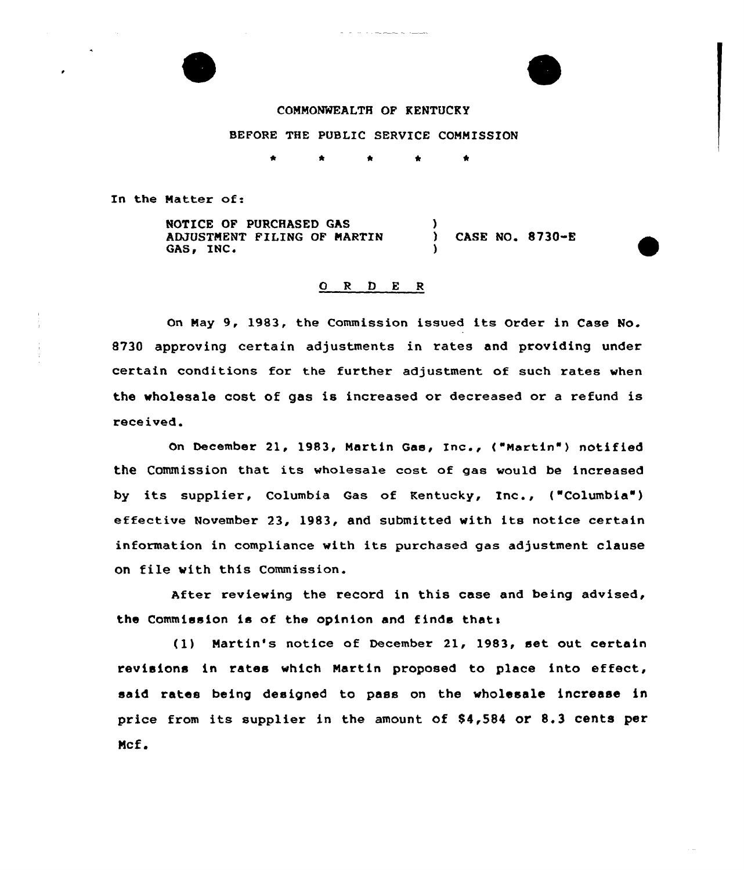

## COMMONWEALTH OF KENTUCKY

## BEFORE THE PUBLIC SERVICE COMMISSION

٠  $\triangle$ 

In the Natter of:

NOTICE OF PURCHASED GAS ADJUSTMENT FILING OF MARTIN GAS, INC. ) ) CASE NO. 8730-E )

## ORDER

On Nay 9, 1983, the Commission issued its Order in Case No. 8730 approving certain adjustments in rates and providing under certain conditions for the further adjustment of such rates when the wholesale cost of gas is increased or decreased or a refund is received.

On December 21, 1983, Martin Gas, Inc., ("Martin") nOtified the Commission that its wholesale cost of gae would be increased by its supplier, Columbia Gas of Kentucky, Inc., ("Columbia' effective November 23, 1983, and submitted with its notice certain information in compliance with its purchased gas adjustment clause on file with this Commission.

After reviewing the record in this case and being advised, the Commission is of the opinion and finds thats

(1) Martin's notice of December 21, 1983, set out certain revisions in rates which Nartin proposed to place into effect, said rates being designed to pass on the wholesale increase in price from its supplier in the amount of 84,584 or 8.3 cents per Mcf.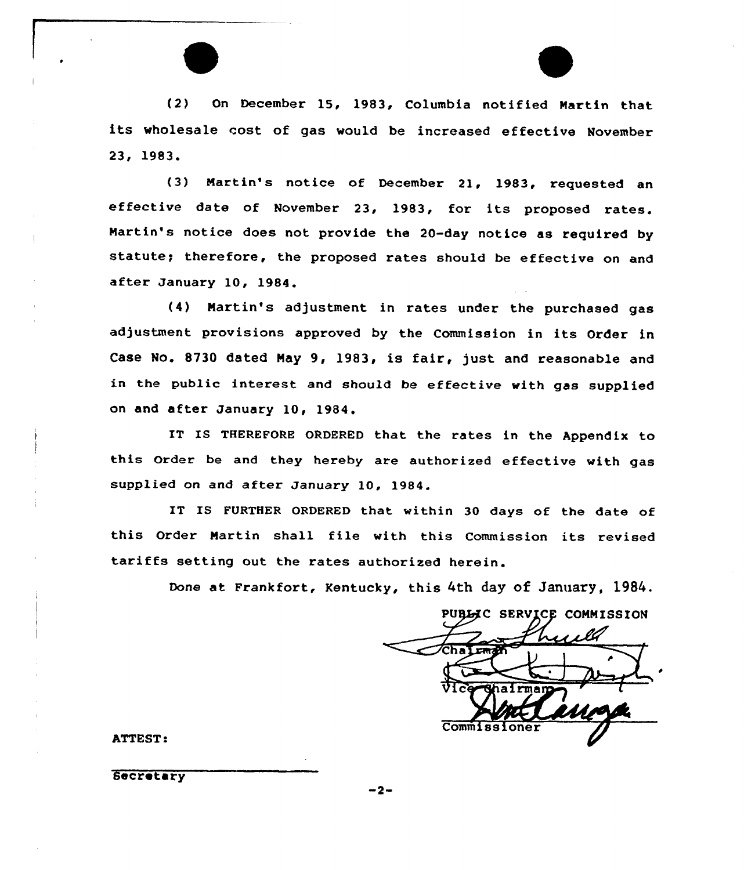(2) On December 15, 1983< Columbia notified Martin that its wholesale cost of gas would be increased effective November 23, 1983.

(3) Martin's notice of December 21, 1983, requested an effective date of November 23, 1983, for its proposed rates. Martin's notice does not provide the 20-day notice as required by statute; therefore, the proposed rates should be effective on and after January 10, 1984.

(4) Martin's adjustment in rates under the purchased gas adjustment provisions approved by the Commission in its Order in Case No. 8730 dated May 9, 1983, is fair, just and reasonable and in the public interest and should be effective with gas supplied on and after January 10, 1984.

IT IS THEREFORE ORDERED that the rates in the Appendix to this Order be and they hereby are authorized effective with gas supplied on and after January 10, 1984.

IT IS FURTHER ORDERED that within 30 days of the date of this Order Martin shall file with this Commission its revised tariffs setting out the rates authorized herein.

Done at Frankfort, Kentucky, this 4th day of January, 1984.

PUBLIC SERVICE COMMISSION Chalem Commiss

ATTEST:

6ecretary

2~